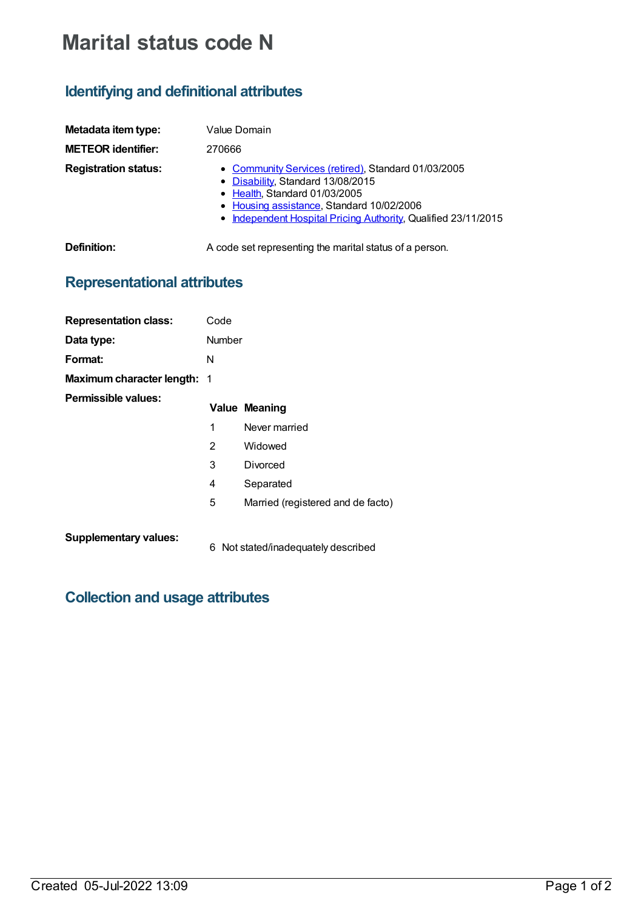# **Marital status code N**

### **Identifying and definitional attributes**

| Metadata item type:         | Value Domain                                                                                                                                                                                                                             |
|-----------------------------|------------------------------------------------------------------------------------------------------------------------------------------------------------------------------------------------------------------------------------------|
| <b>METEOR identifier:</b>   | 270666                                                                                                                                                                                                                                   |
| <b>Registration status:</b> | • Community Services (retired), Standard 01/03/2005<br>• Disability, Standard 13/08/2015<br>• Health, Standard 01/03/2005<br>• Housing assistance, Standard 10/02/2006<br>• Independent Hospital Pricing Authority, Qualified 23/11/2015 |
| Definition:                 | A code set representing the marital status of a person.                                                                                                                                                                                  |

## **Representational attributes**

| <b>Representation class:</b>       | Code          |                                     |  |
|------------------------------------|---------------|-------------------------------------|--|
| Data type:                         | <b>Number</b> |                                     |  |
| Format:                            | N             |                                     |  |
| <b>Maximum character length: 1</b> |               |                                     |  |
| Permissible values:                |               | <b>Value Meaning</b>                |  |
|                                    | 1             | Never married                       |  |
|                                    | 2             | Widowed                             |  |
|                                    | 3             | Divorced                            |  |
|                                    | 4             | Separated                           |  |
|                                    | 5             | Married (registered and de facto)   |  |
| <b>Supplementary values:</b>       |               | 6 Not stated/inadequately described |  |

#### **Collection and usage attributes**